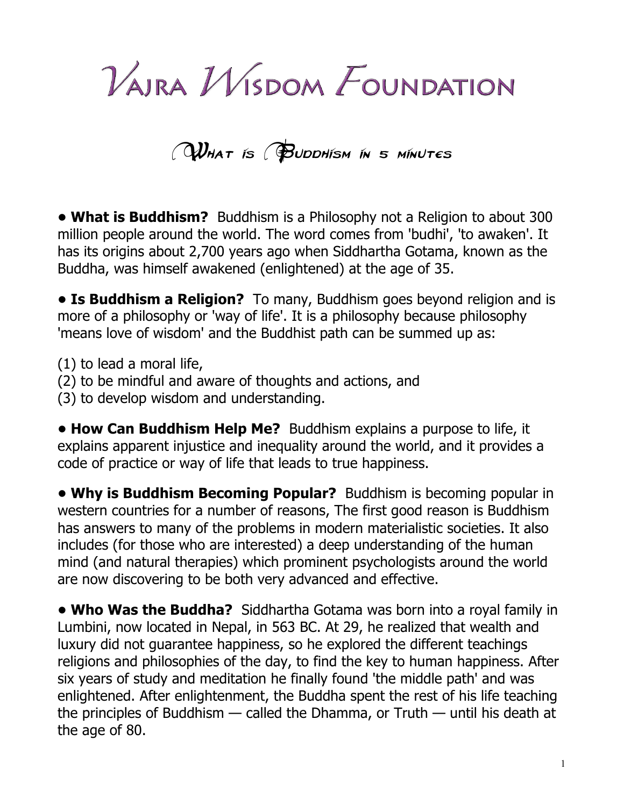VAJRA WISDOM FOUNDATION

*What is Buddhism in 5 minutes*

**• What is Buddhism?** Buddhism is a Philosophy not a Religion to about 300 million people around the world. The word comes from 'budhi', 'to awaken'. It has its origins about 2,700 years ago when Siddhartha Gotama, known as the Buddha, was himself awakened (enlightened) at the age of 35.

**• Is Buddhism a Religion?** To many, Buddhism goes beyond religion and is more of a philosophy or 'way of life'. It is a philosophy because philosophy 'means love of wisdom' and the Buddhist path can be summed up as:

(1) to lead a moral life,

(2) to be mindful and aware of thoughts and actions, and

(3) to develop wisdom and understanding.

**• How Can Buddhism Help Me?** Buddhism explains a purpose to life, it explains apparent injustice and inequality around the world, and it provides a code of practice or way of life that leads to true happiness.

**• Why is Buddhism Becoming Popular?** Buddhism is becoming popular in western countries for a number of reasons, The first good reason is Buddhism has answers to many of the problems in modern materialistic societies. It also includes (for those who are interested) a deep understanding of the human mind (and natural therapies) which prominent psychologists around the world are now discovering to be both very advanced and effective.

**• Who Was the Buddha?** Siddhartha Gotama was born into a royal family in Lumbini, now located in Nepal, in 563 BC. At 29, he realized that wealth and luxury did not guarantee happiness, so he explored the different teachings religions and philosophies of the day, to find the key to human happiness. After six years of study and meditation he finally found 'the middle path' and was enlightened. After enlightenment, the Buddha spent the rest of his life teaching the principles of Buddhism — called the Dhamma, or Truth — until his death at the age of 80.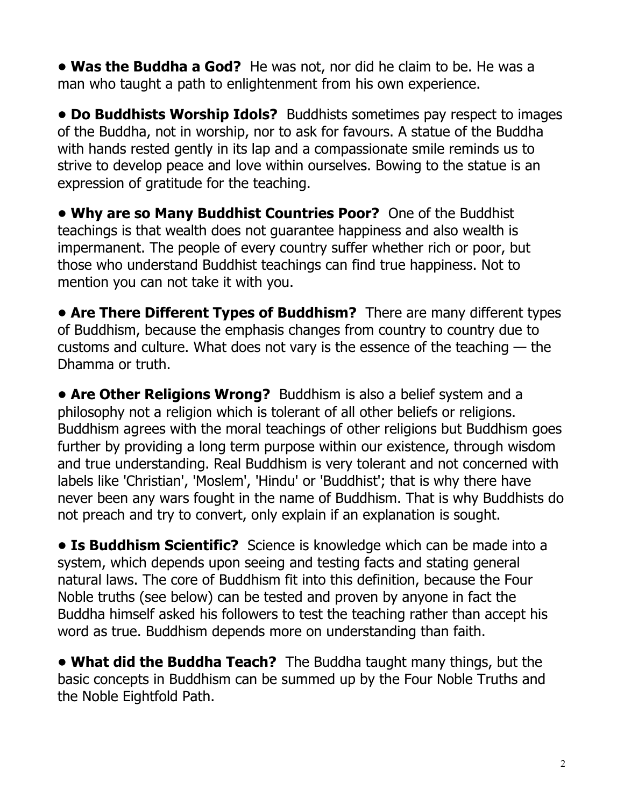**• Was the Buddha a God?** He was not, nor did he claim to be. He was a man who taught a path to enlightenment from his own experience.

**• Do Buddhists Worship Idols?** Buddhists sometimes pay respect to images of the Buddha, not in worship, nor to ask for favours. A statue of the Buddha with hands rested gently in its lap and a compassionate smile reminds us to strive to develop peace and love within ourselves. Bowing to the statue is an expression of gratitude for the teaching.

**• Why are so Many Buddhist Countries Poor?** One of the Buddhist teachings is that wealth does not guarantee happiness and also wealth is impermanent. The people of every country suffer whether rich or poor, but those who understand Buddhist teachings can find true happiness. Not to mention you can not take it with you.

**• Are There Different Types of Buddhism?** There are many different types of Buddhism, because the emphasis changes from country to country due to customs and culture. What does not vary is the essence of the teaching — the Dhamma or truth.

**• Are Other Religions Wrong?** Buddhism is also a belief system and a philosophy not a religion which is tolerant of all other beliefs or religions. Buddhism agrees with the moral teachings of other religions but Buddhism goes further by providing a long term purpose within our existence, through wisdom and true understanding. Real Buddhism is very tolerant and not concerned with labels like 'Christian', 'Moslem', 'Hindu' or 'Buddhist'; that is why there have never been any wars fought in the name of Buddhism. That is why Buddhists do not preach and try to convert, only explain if an explanation is sought.

**• Is Buddhism Scientific?** Science is knowledge which can be made into a system, which depends upon seeing and testing facts and stating general natural laws. The core of Buddhism fit into this definition, because the Four Noble truths (see below) can be tested and proven by anyone in fact the Buddha himself asked his followers to test the teaching rather than accept his word as true. Buddhism depends more on understanding than faith.

**• What did the Buddha Teach?** The Buddha taught many things, but the basic concepts in Buddhism can be summed up by the Four Noble Truths and the Noble Eightfold Path.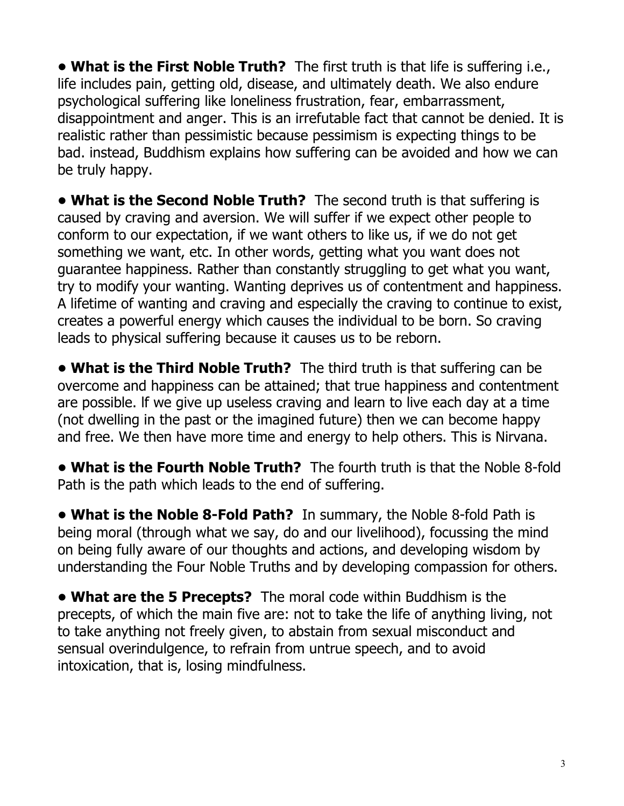**• What is the First Noble Truth?** The first truth is that life is suffering i.e., life includes pain, getting old, disease, and ultimately death. We also endure psychological suffering like loneliness frustration, fear, embarrassment, disappointment and anger. This is an irrefutable fact that cannot be denied. It is realistic rather than pessimistic because pessimism is expecting things to be bad. instead, Buddhism explains how suffering can be avoided and how we can be truly happy.

**• What is the Second Noble Truth?** The second truth is that suffering is caused by craving and aversion. We will suffer if we expect other people to conform to our expectation, if we want others to like us, if we do not get something we want, etc. In other words, getting what you want does not guarantee happiness. Rather than constantly struggling to get what you want, try to modify your wanting. Wanting deprives us of contentment and happiness. A lifetime of wanting and craving and especially the craving to continue to exist, creates a powerful energy which causes the individual to be born. So craving leads to physical suffering because it causes us to be reborn.

**• What is the Third Noble Truth?** The third truth is that suffering can be overcome and happiness can be attained; that true happiness and contentment are possible. lf we give up useless craving and learn to live each day at a time (not dwelling in the past or the imagined future) then we can become happy and free. We then have more time and energy to help others. This is Nirvana.

**• What is the Fourth Noble Truth?** The fourth truth is that the Noble 8-fold Path is the path which leads to the end of suffering.

**• What is the Noble 8-Fold Path?** In summary, the Noble 8-fold Path is being moral (through what we say, do and our livelihood), focussing the mind on being fully aware of our thoughts and actions, and developing wisdom by understanding the Four Noble Truths and by developing compassion for others.

**• What are the 5 Precepts?** The moral code within Buddhism is the precepts, of which the main five are: not to take the life of anything living, not to take anything not freely given, to abstain from sexual misconduct and sensual overindulgence, to refrain from untrue speech, and to avoid intoxication, that is, losing mindfulness.